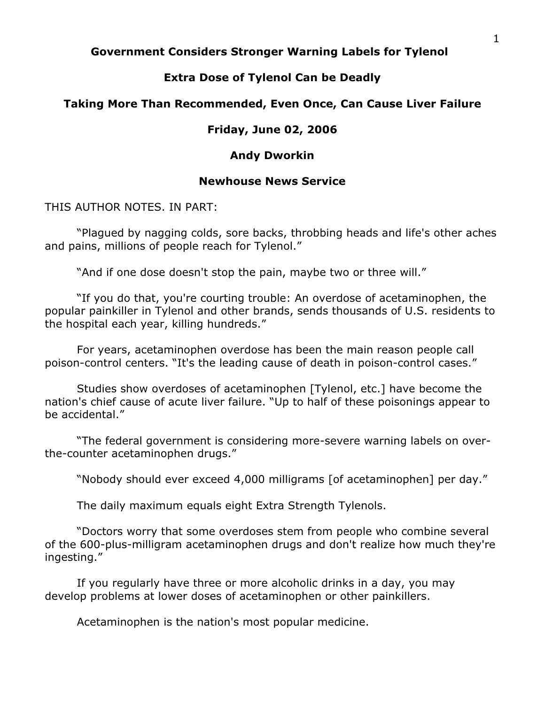# **Government Considers Stronger Warning Labels for Tylenol**

# **Extra Dose of Tylenol Can be Deadly**

### **Taking More Than Recommended, Even Once, Can Cause Liver Failure**

#### **Friday, June 02, 2006**

#### **Andy Dworkin**

# **Newhouse News Service**

THIS AUTHOR NOTES. IN PART:

"Plagued by nagging colds, sore backs, throbbing heads and life's other aches and pains, millions of people reach for Tylenol."

"And if one dose doesn't stop the pain, maybe two or three will."

"If you do that, you're courting trouble: An overdose of acetaminophen, the popular painkiller in Tylenol and other brands, sends thousands of U.S. residents to the hospital each year, killing hundreds."

For years, acetaminophen overdose has been the main reason people call poison-control centers. "It's the leading cause of death in poison-control cases."

Studies show overdoses of acetaminophen [Tylenol, etc.] have become the nation's chief cause of acute liver failure. "Up to half of these poisonings appear to be accidental."

"The federal government is considering more-severe warning labels on overthe-counter acetaminophen drugs."

"Nobody should ever exceed 4,000 milligrams [of acetaminophen] per day."

The daily maximum equals eight Extra Strength Tylenols.

"Doctors worry that some overdoses stem from people who combine several of the 600-plus-milligram acetaminophen drugs and don't realize how much they're ingesting."

If you regularly have three or more alcoholic drinks in a day, you may develop problems at lower doses of acetaminophen or other painkillers.

Acetaminophen is the nation's most popular medicine.